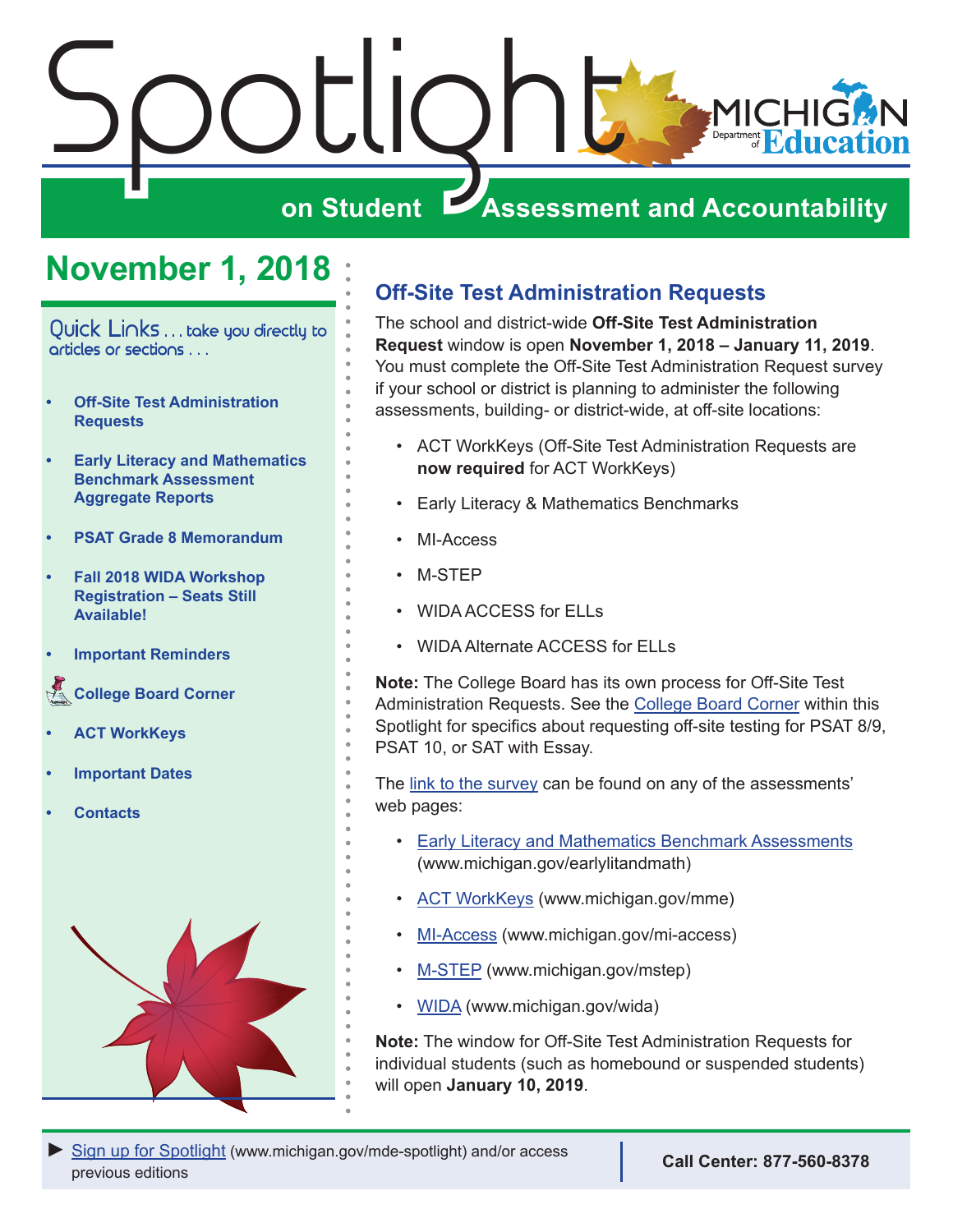<span id="page-0-0"></span>

## **November 1, 2018**

Quick Links . . . take you directly to articles or sections . . .

- **• Off-Site Test Administration Requests**
- **• [Early Literacy and Mathematics](#page-1-0)  [Benchmark Assessment](#page-1-0)  [Aggregate Reports](#page-1-0)**
- **• [PSAT Grade 8 Memorandum](#page-1-0)**
- **• [Fall 2018 WIDA Workshop](#page-1-0)  [Registration – Seats Still](#page-1-0)  [Available!](#page-1-0)**
- **• [Important Reminders](#page-2-0)**

**Reminders Board Corner** 

- **• [ACT WorkKeys](#page-5-0)**
- **• [Important Dates](#page-7-0)**
- **• [Contacts](#page-9-0)**



## **Off-Site Test Administration Requests**

The school and district-wide **Off-Site Test Administration Request** window is open **November 1, 2018 – January 11, 2019**. You must complete the Off-Site Test Administration Request survey if your school or district is planning to administer the following assessments, building- or district-wide, at off-site locations:

- ACT WorkKeys (Off-Site Test Administration Requests are **now required** for ACT WorkKeys)
- Early Literacy & Mathematics Benchmarks
- MI-Access
- M-STEP
- WIDA ACCESS for ELLs
- WIDA Alternate ACCESS for ELLs

**Note:** The College Board has its own process for Off-Site Test Administration Requests. See the [College Board Corner](#page-3-1) within this Spotlight for specifics about requesting off-site testing for PSAT 8/9, PSAT 10, or SAT with Essay.

The [link to the survey](https://baameap.wufoo.com/forms/z13u94c61u81lh1/) can be found on any of the assessments' web pages:

- [Early Literacy and Mathematics Benchmark Assessments](www.michigan.gov/earlylitandmath) (www.michigan.gov/earlylitandmath)
- [ACT WorkKeys](www.michigan.gov/mme) (www.michigan.gov/mme)
- [MI-Access](http://www.michigan.gov/mi-access) (www.michigan.gov/mi-access)
- [M-STEP](www.michigan.gov/mstep) (www.michigan.gov/mstep)
- [WIDA](www.michigan.gov/wida) (www.michigan.gov/wida)

**Note:** The window for Off-Site Test Administration Requests for individual students (such as homebound or suspended students) will open **January 10, 2019**.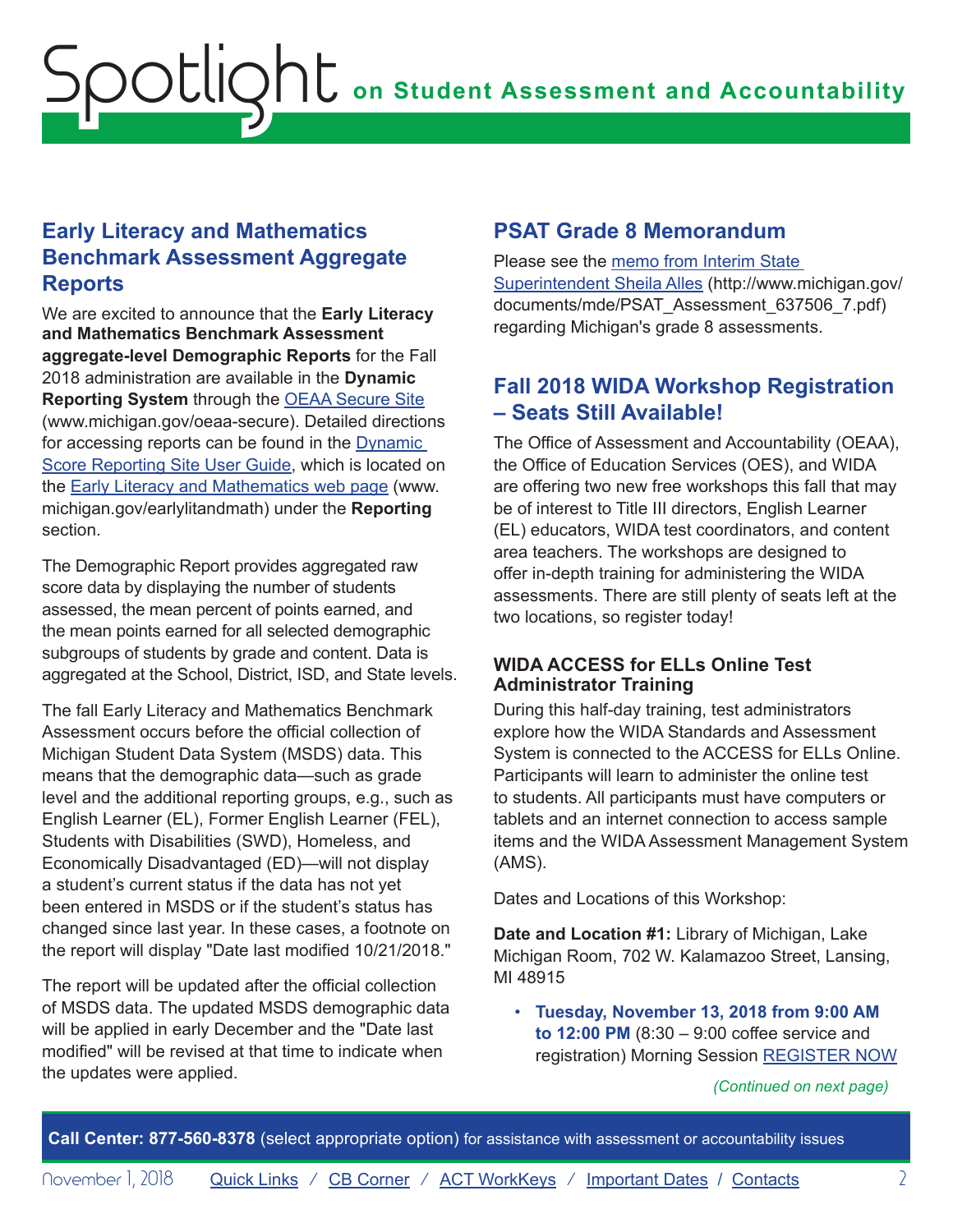## <span id="page-1-0"></span>**Early Literacy and Mathematics Benchmark Assessment Aggregate Reports**

We are excited to announce that the **Early Literacy and Mathematics Benchmark Assessment aggregate-level Demographic Reports** for the Fall 2018 administration are available in the **Dynamic Reporting System** through the [OEAA Secure Site](http://www.michigan.gov/oeaa-secure) (www.michigan.gov/oeaa-secure). Detailed directions for accessing reports can be found in the [Dynamic](https://www.michigan.gov/documents/mde/How_to_Navigate_Dynamic_Score_Reports_532306_7.pdf)  [Score Reporting Site User Guide](https://www.michigan.gov/documents/mde/How_to_Navigate_Dynamic_Score_Reports_532306_7.pdf), which is located on the [Early Literacy and Mathematics web page](www.michigan.gov/earlylitandmath) (www. michigan.gov/earlylitandmath) under the **Reporting** section.

The Demographic Report provides aggregated raw score data by displaying the number of students assessed, the mean percent of points earned, and the mean points earned for all selected demographic subgroups of students by grade and content. Data is aggregated at the School, District, ISD, and State levels.

The fall Early Literacy and Mathematics Benchmark Assessment occurs before the official collection of Michigan Student Data System (MSDS) data. This means that the demographic data—such as grade level and the additional reporting groups, e.g., such as English Learner (EL), Former English Learner (FEL), Students with Disabilities (SWD), Homeless, and Economically Disadvantaged (ED)—will not display a student's current status if the data has not yet been entered in MSDS or if the student's status has changed since last year. In these cases, a footnote on the report will display "Date last modified 10/21/2018."

The report will be updated after the official collection of MSDS data. The updated MSDS demographic data will be applied in early December and the "Date last modified" will be revised at that time to indicate when the updates were applied.

### **PSAT Grade 8 Memorandum**

Please see the [memo from Interim State](http://www.michigan.gov/documents/mde/PSAT_Assessment_637506_7.pdf)  [Superintendent Sheila Alles](http://www.michigan.gov/documents/mde/PSAT_Assessment_637506_7.pdf) (http://www.michigan.gov/ documents/mde/PSAT\_Assessment\_637506\_7.pdf) regarding Michigan's grade 8 assessments.

### **Fall 2018 WIDA Workshop Registration – Seats Still Available!**

The Office of Assessment and Accountability (OEAA), the Office of Education Services (OES), and WIDA are offering two new free workshops this fall that may be of interest to Title III directors, English Learner (EL) educators, WIDA test coordinators, and content area teachers. The workshops are designed to offer in-depth training for administering the WIDA assessments. There are still plenty of seats left at the two locations, so register today!

#### **WIDA ACCESS for ELLs Online Test Administrator Training**

During this half-day training, test administrators explore how the WIDA Standards and Assessment System is connected to the ACCESS for ELLs Online. Participants will learn to administer the online test to students. All participants must have computers or tablets and an internet connection to access sample items and the WIDA Assessment Management System (AMS).

Dates and Locations of this Workshop:

**Date and Location #1:** Library of Michigan, Lake Michigan Room, 702 W. Kalamazoo Street, Lansing, MI 48915

• **Tuesday, November 13, 2018 from 9:00 AM to 12:00 PM** (8:30 – 9:00 coffee service and registration) Morning Session [REGISTER NOW](https://www.eventbrite.com/e/wida-access-for-ells-online-test-administrator-training-morning-session-tickets-49553241078)

*(Continued on next page)*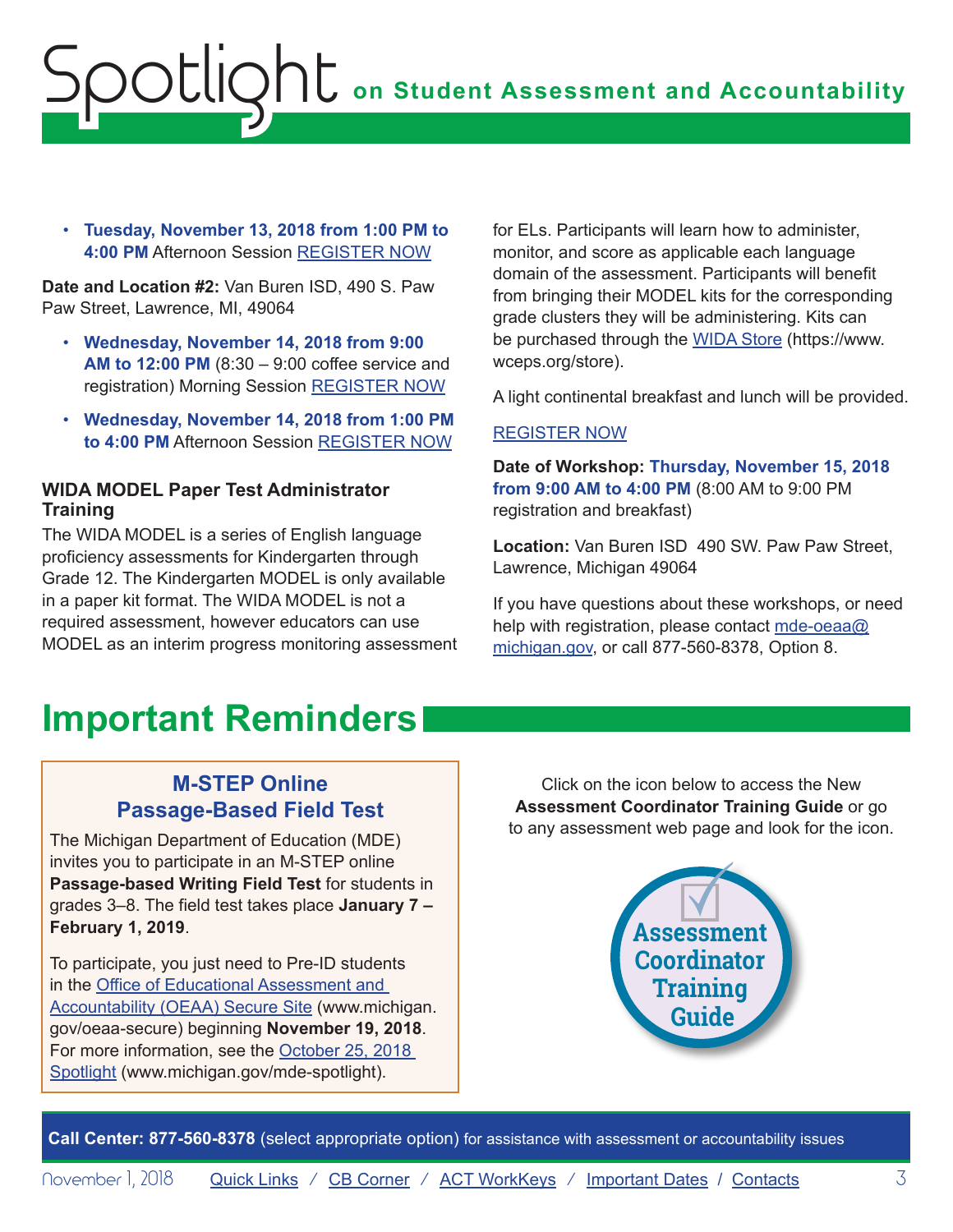<span id="page-2-0"></span>• **Tuesday, November 13, 2018 from 1:00 PM to 4:00 PM** Afternoon Session [REGISTER NOW](https://www.eventbrite.com/e/wida-access-for-ells-online-test-administrator-training-afternoon-session-tickets-49553858926)

**Date and Location #2:** Van Buren ISD, 490 S. Paw Paw Street, Lawrence, MI, 49064

- **Wednesday, November 14, 2018 from 9:00 AM to 12:00 PM** (8:30 – 9:00 coffee service and registration) Morning Session [REGISTER NOW](https://www.eventbrite.com/e/wida-access-for-ells-online-test-administrator-training-morning-session-registration-49556628209)
- **Wednesday, November 14, 2018 from 1:00 PM to 4:00 PM** Afternoon Session [REGISTER NOW](https://www.eventbrite.com/e/wida-access-for-ells-online-test-administrator-training-afternoon-session-tickets-49554099646)

#### **WIDA MODEL Paper Test Administrator Training**

The WIDA MODEL is a series of English language proficiency assessments for Kindergarten through Grade 12. The Kindergarten MODEL is only available in a paper kit format. The WIDA MODEL is not a required assessment, however educators can use MODEL as an interim progress monitoring assessment for ELs. Participants will learn how to administer, monitor, and score as applicable each language domain of the assessment. Participants will benefit from bringing their MODEL kits for the corresponding grade clusters they will be administering. Kits can be purchased through the [WIDA Store](https://www.wceps.org/store) (https://www. wceps.org/store).

A light continental breakfast and lunch will be provided.

#### [REGISTER NOW](https://www.eventbrite.com/e/wida-model-paper-test-administrator-training-tickets-49553950199)

**Date of Workshop: Thursday, November 15, 2018 from 9:00 AM to 4:00 PM** (8:00 AM to 9:00 PM registration and breakfast)

**Location:** Van Buren ISD 490 SW. Paw Paw Street, Lawrence, Michigan 49064

If you have questions about these workshops, or need help with registration, please contact [mde-oeaa@](mailto:mde-oeaa%40michigan.gov?subject=) [michigan.gov,](mailto:mde-oeaa%40michigan.gov?subject=) or call 877-560-8378, Option 8.

## **Important Reminders**

## **M-STEP Online Passage-Based Field Test**

The Michigan Department of Education (MDE) invites you to participate in an M-STEP online **Passage-based Writing Field Test** for students in grades 3–8. The field test takes place **January 7 – February 1, 2019**.

To participate, you just need to Pre-ID students in the [Office of Educational Assessment and](http://www.michigan.gov/oeaa-secure)  [Accountability \(OEAA\) Secure Site](http://www.michigan.gov/oeaa-secure) (www.michigan. gov/oeaa-secure) beginning **November 19, 2018**. For more information, see the [October 25, 2018](https://www.michigan.gov/documents/mde/10.25.2018_Spotlight_636974_7.pdf)  [Spotlight](https://www.michigan.gov/documents/mde/10.25.2018_Spotlight_636974_7.pdf) (www.michigan.gov/mde-spotlight).

Click on the icon below to access the New **Assessment Coordinator Training Guide** or go to any assessment web page and look for the icon.

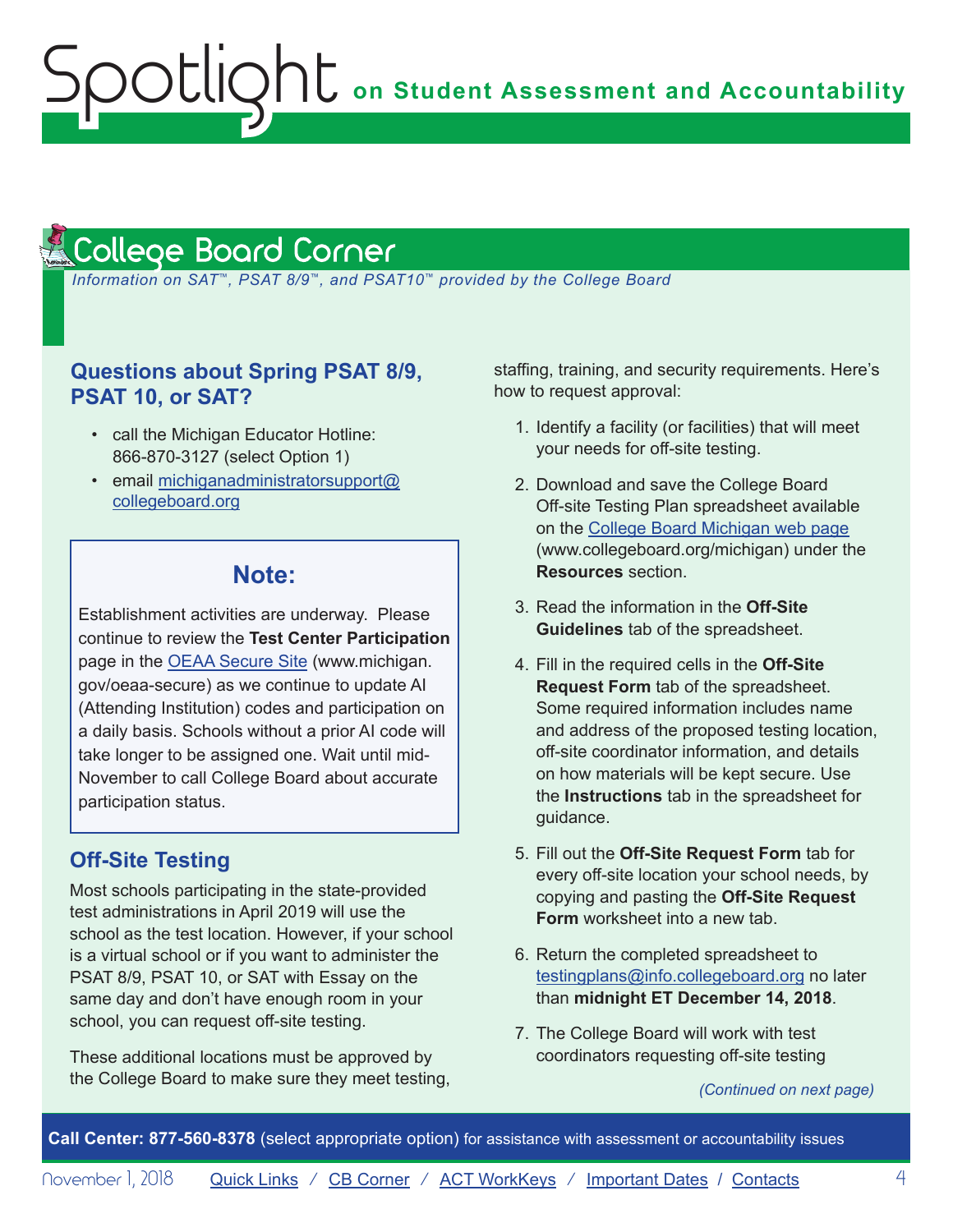#### <span id="page-3-1"></span>College Board Corner **Reminders**

<span id="page-3-0"></span>Spotlight

 *Information on SAT*™*, PSAT 8/9*™*, and PSAT10*™ *provided by the College Board*

### **Questions about Spring PSAT 8/9, PSAT 10, or SAT?**

- call the Michigan Educator Hotline: 866-870-3127 (select Option 1)
- email [michiganadministratorsupport@](mailto:michiganadministratorsupport%40collegeboard.org?subject=) [collegeboard.org](mailto:michiganadministratorsupport%40collegeboard.org?subject=)

## **Note:**

Establishment activities are underway. Please continue to review the **Test Center Participation** page in the [OEAA Secure Site](http://www.michigan.gov/oeaa-secure) (www.michigan. gov/oeaa-secure) as we continue to update AI (Attending Institution) codes and participation on a daily basis. Schools without a prior AI code will take longer to be assigned one. Wait until mid-November to call College Board about accurate participation status.

#### **Off-Site Testing**

Most schools participating in the state-provided test administrations in April 2019 will use the school as the test location. However, if your school is a virtual school or if you want to administer the PSAT 8/9, PSAT 10, or SAT with Essay on the same day and don't have enough room in your school, you can request off-site testing.

These additional locations must be approved by the College Board to make sure they meet testing, staffing, training, and security requirements. Here's how to request approval:

- 1. Identify a facility (or facilities) that will meet your needs for off-site testing.
- 2. Download and save the College Board Off-site Testing Plan spreadsheet available on the [College Board Michigan web page](http://www.collegeboard.org/michigan) (www.collegeboard.org/michigan) under the **Resources** section.
- 3. Read the information in the **Off-Site Guidelines** tab of the spreadsheet.
- 4. Fill in the required cells in the **Off-Site Request Form** tab of the spreadsheet. Some required information includes name and address of the proposed testing location, off-site coordinator information, and details on how materials will be kept secure. Use the **Instructions** tab in the spreadsheet for guidance.
- 5. Fill out the **Off-Site Request Form** tab for every off-site location your school needs, by copying and pasting the **Off-Site Request Form** worksheet into a new tab.
- 6. Return the completed spreadsheet to [testingplans@info.collegeboard.org](mailto:testingplans%40info.collegeboard.org?subject=) no later than **midnight ET December 14, 2018**.
- 7. The College Board will work with test coordinators requesting off-site testing

*(Continued on next page)*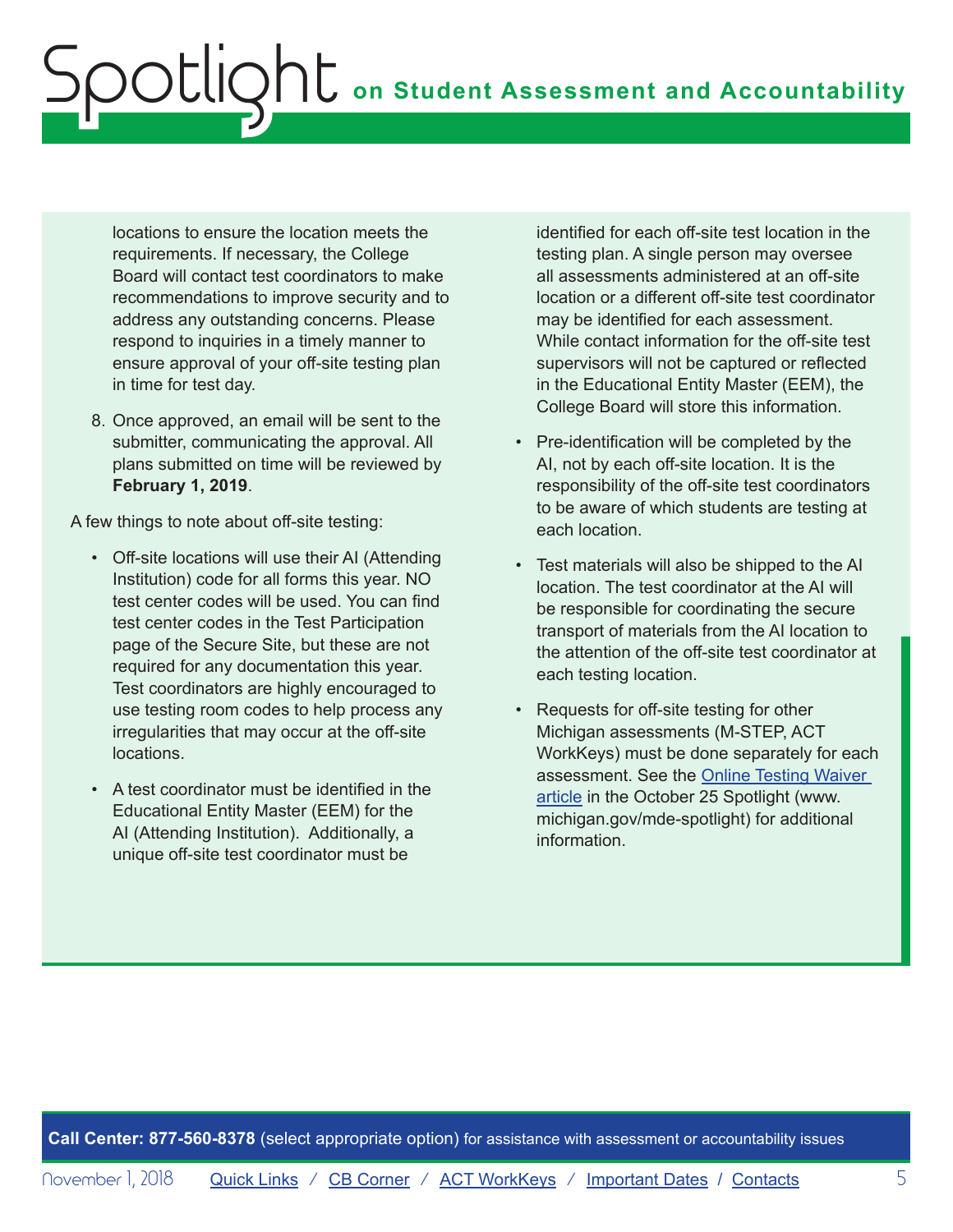locations to ensure the location meets the requirements. If necessary, the College Board will contact test coordinators to make recommendations to improve security and to address any outstanding concerns. Please respond to inquiries in a timely manner to ensure approval of your off-site testing plan in time for test day.

8. Once approved, an email will be sent to the submitter, communicating the approval. All plans submitted on time will be reviewed by **February 1, 2019**.

A few things to note about off-site testing:

- Off-site locations will use their AI (Attending Institution) code for all forms this year. NO test center codes will be used. You can find test center codes in the Test Participation page of the Secure Site, but these are not required for any documentation this year. Test coordinators are highly encouraged to use testing room codes to help process any irregularities that may occur at the off-site locations.
- A test coordinator must be identified in the Educational Entity Master (EEM) for the AI (Attending Institution). Additionally, a unique off-site test coordinator must be

identified for each off-site test location in the testing plan. A single person may oversee all assessments administered at an off-site location or a different off-site test coordinator may be identified for each assessment. While contact information for the off-site test supervisors will not be captured or reflected in the Educational Entity Master (EEM), the College Board will store this information.

- Pre-identification will be completed by the AI, not by each off-site location. It is the responsibility of the off-site test coordinators to be aware of which students are testing at each location.
- Test materials will also be shipped to the AI location. The test coordinator at the AI will be responsible for coordinating the secure transport of materials from the AI location to the attention of the off-site test coordinator at each testing location.
- Requests for off-site testing for other Michigan assessments (M-STEP, ACT WorkKeys) must be done separately for each assessment. See the [Online Testing Waiver](https://www.michigan.gov/documents/mde/10.25.2018_Spotlight_636974_7.pdf)  [article](https://www.michigan.gov/documents/mde/10.25.2018_Spotlight_636974_7.pdf) in the October 25 Spotlight (www. michigan.gov/mde-spotlight) for additional information.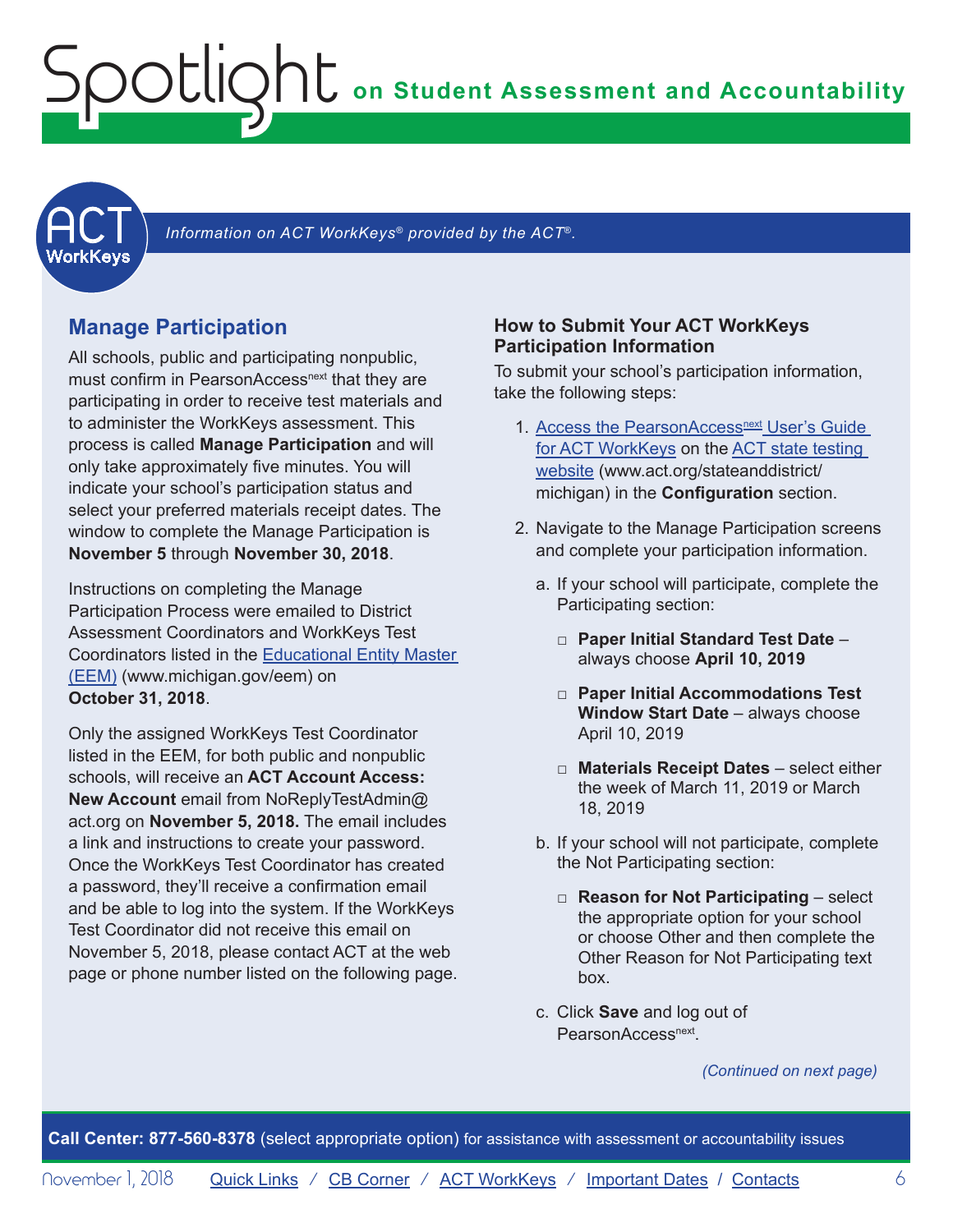## **on Student Assessment and Accountability**

<span id="page-5-1"></span>

Information on ACT WorkKeys<sup>®</sup> provided by the ACT<sup>®</sup>.

#### **Manage Participation**

<span id="page-5-0"></span>Spotlight

All schools, public and participating nonpublic, must confirm in PearsonAccess<sup>next</sup> that they are participating in order to receive test materials and to administer the WorkKeys assessment. This process is called **Manage Participation** and will only take approximately five minutes. You will indicate your school's participation status and select your preferred materials receipt dates. The window to complete the Manage Participation is **November 5** through **November 30, 2018**.

Instructions on completing the Manage Participation Process were emailed to District Assessment Coordinators and WorkKeys Test Coordinators listed in the [Educational Entity Master](www.michigan.gov/EEM)  [\(EEM\)](www.michigan.gov/EEM) (www.michigan.gov/eem) on **October 31, 2018**.

Only the assigned WorkKeys Test Coordinator listed in the EEM, for both public and nonpublic schools, will receive an **ACT Account Access: New Account** email from NoReplyTestAdmin@ act.org on **November 5, 2018.** The email includes a link and instructions to create your password. Once the WorkKeys Test Coordinator has created a password, they'll receive a confirmation email and be able to log into the system. If the WorkKeys Test Coordinator did not receive this email on November 5, 2018, please contact ACT at the web page or phone number listed on the following page.

#### **How to Submit Your ACT WorkKeys Participation Information**

To submit your school's participation information, take the following steps:

- 1. Access the PearsonAccess<sup>next</sup> User's Guide [for ACT WorkKeys](http://www.act.org/content/dam/act/unsecured/documents/PANUserGuide-ACTWorkKeys.pdf) on the [ACT state testing](http://www.act.org/stateanddistrict/michigan)  [website](http://www.act.org/stateanddistrict/michigan) (www.act.org/stateanddistrict/ michigan) in the **Configuration** section.
- 2. Navigate to the Manage Participation screens and complete your participation information.
	- a. If your school will participate, complete the Participating section:
		- □ **Paper Initial Standard Test Date** always choose **April 10, 2019**
		- □ **Paper Initial Accommodations Test Window Start Date** – always choose April 10, 2019
		- □ **Materials Receipt Dates** select either the week of March 11, 2019 or March 18, 2019
	- b. If your school will not participate, complete the Not Participating section:
		- □ **Reason for Not Participating** select the appropriate option for your school or choose Other and then complete the Other Reason for Not Participating text box.
	- c. Click **Save** and log out of PearsonAccess<sup>next</sup>.

*(Continued on next page)*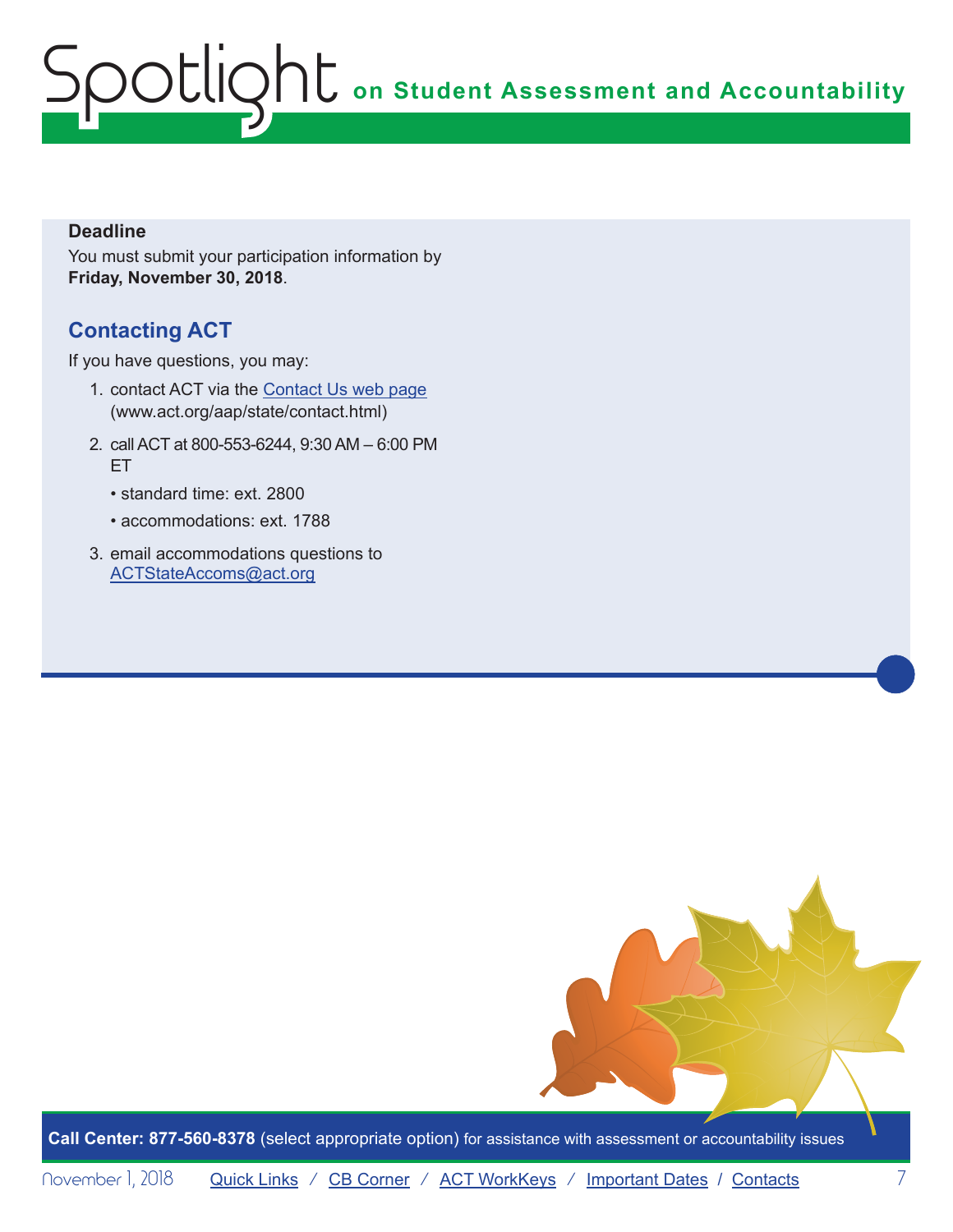#### **Deadline**

You must submit your participation information by **Friday, November 30, 2018**.

## **Contacting ACT**

If you have questions, you may:

- 1. contact ACT via the [Contact Us web page](http://www.act.org/aap/state/contact.html) (<www.act.org/aap/state/contact.html>)
- 2. call ACT at 800-553-6244, 9:30 AM 6:00 PM ET
	- standard time: ext. 2800
	- accommodations: ext. 1788
- 3. email accommodations questions to [ACTStateAccoms@act.org](mailto:ACTStateAccoms%40act.org?subject=)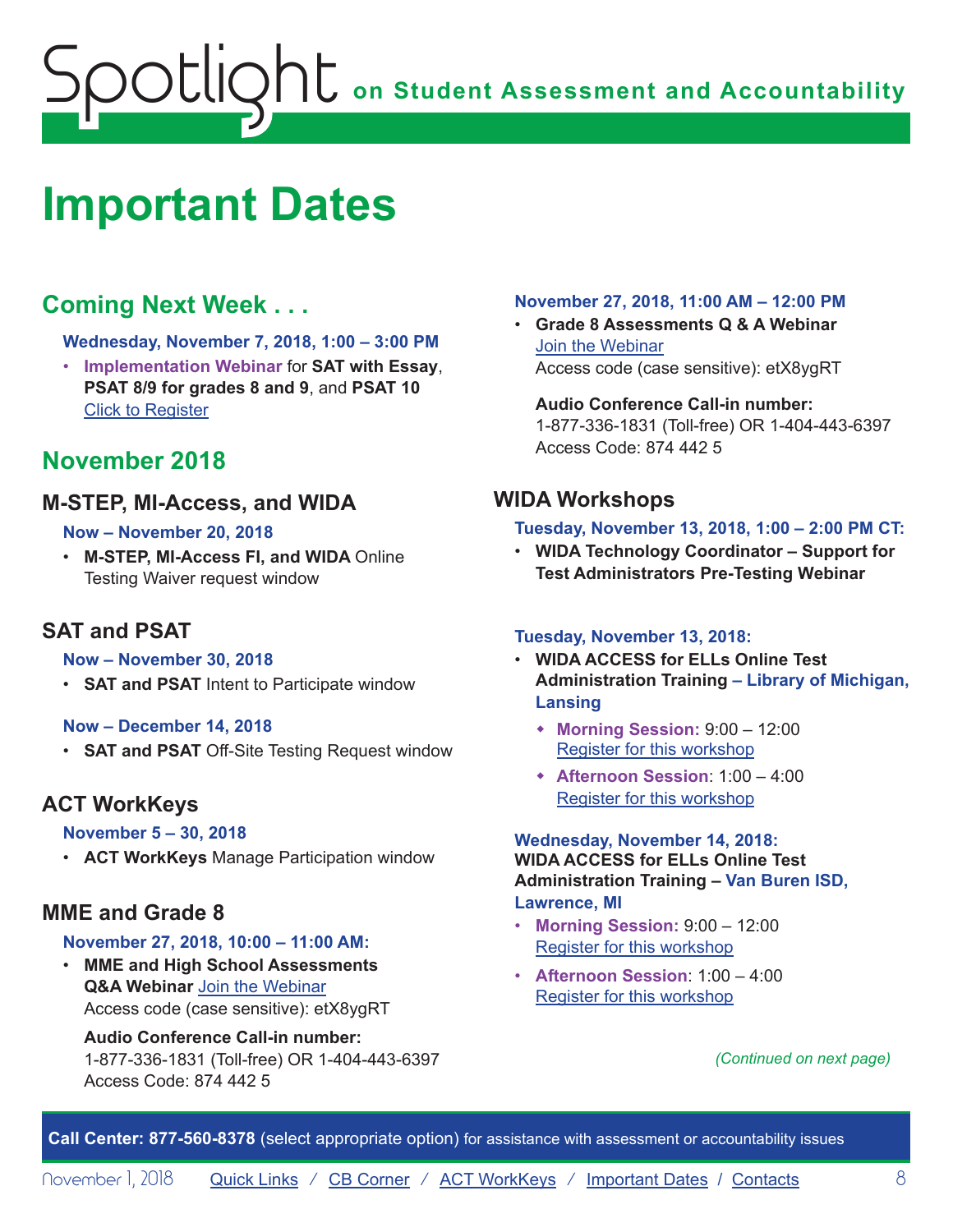## <span id="page-7-1"></span><span id="page-7-0"></span>**Important Dates**

## **Coming Next Week . . .**

**Wednesday, November 7, 2018, 1:00 – 3:00 PM**

• **Implementation Webinar** for **SAT with Essay**, **PSAT 8/9 for grades 8 and 9**, and **PSAT 10** [Click to Register](http://www.tinyurl.com/2019MichiganImplementation)

## **November 2018**

#### **M-STEP, MI-Access, and WIDA**

#### **Now – November 20, 2018**

• **M-STEP, MI-Access FI, and WIDA** Online Testing Waiver request window

### **SAT and PSAT**

#### **Now – November 30, 2018**

• **SAT and PSAT** Intent to Participate window

#### **Now – December 14, 2018**

• **SAT and PSAT** Off-Site Testing Request window

### **ACT WorkKeys**

#### **November 5 – 30, 2018**

• **ACT WorkKeys** Manage Participation window

### **MME and Grade 8**

#### **November 27, 2018, 10:00 – 11:00 AM:**

• **MME and High School Assessments Q&A Webinar** [Join the Webinar](https://michiganmde.webex.com/mw3300/mywebex/default.do?service=1&siteurl=michiganmde&nomenu=true&main_url=%2Fmc3300%2Fe.do%3Fsiteurl%3Dmichiganmde%26AT%3DMI%26EventID%3D397749447%26UID%3D515357442%26Host%3DQUhTSwAAAATAL3hXaWJPOfQw3SR9WG2vLujpA5u-kWNgzrRkS02pZzQuRlgcULc7Crl6s3CX5Os7Os0EqvObbXl5Jd4OLcy30%26FrameSet%3D2%26MTID%3Dm972fcc896333de692704026c31c159f4) Access code (case sensitive): etX8ygRT

#### **Audio Conference Call-in number:**

1-877-336-1831 (Toll-free) OR 1-404-443-6397 Access Code: 874 442 5

#### **November 27, 2018, 11:00 AM – 12:00 PM**

• **Grade 8 Assessments Q & A Webinar** [Join the Webinar](https://michiganmde.webex.com/mw3300/mywebex/default.do?service=1&siteurl=michiganmde&nomenu=true&main_url=%2Fmc3300%2Fe.do%3Fsiteurl%3Dmichiganmde%26AT%3DMI%26EventID%3D397749447%26UID%3D515357442%26Host%3DQUhTSwAAAATAL3hXaWJPOfQw3SR9WG2vLujpA5u-kWNgzrRkS02pZzQuRlgcULc7Crl6s3CX5Os7Os0EqvObbXl5Jd4OLcy30%26FrameSet%3D2%26MTID%3Dm972fcc896333de692704026c31c159f4) Access code (case sensitive): etX8ygRT

#### **Audio Conference Call-in number:** 1-877-336-1831 (Toll-free) OR 1-404-443-6397 Access Code: 874 442 5

## **WIDA Workshops**

#### **Tuesday, November 13, 2018, 1:00 – 2:00 PM CT:**

• **WIDA Technology Coordinator – Support for Test Administrators Pre-Testing Webinar**

#### **Tuesday, November 13, 2018:**

- **WIDA ACCESS for ELLs Online Test Administration Training – Library of Michigan, Lansing**
	- w **Morning Session:** 9:00 12:00 [Register for this workshop](https://www.eventbrite.com/e/wida-access-for-ells-online-test-administrator-training-morning-session-tickets-49553241078)
	- w **Afternoon Session**: 1:00 4:00 [Register for this workshop](https://www.eventbrite.com/e/wida-access-for-ells-online-test-administrator-training-afternoon-session-tickets-49553858926)

#### **Wednesday, November 14, 2018: WIDA ACCESS for ELLs Online Test Administration Training – Van Buren ISD,**

#### **Lawrence, MI**

- **Morning Session:** 9:00 12:00 [Register for this workshop](https://www.eventbrite.com/e/wida-access-for-ells-online-test-administrator-training-morning-session-registration-49556628209)
- **Afternoon Session**: 1:00 4:00 [Register for this workshop](https://www.eventbrite.com/e/wida-access-for-ells-online-test-administrator-training-afternoon-session-tickets-49554099646)

*(Continued on next page)*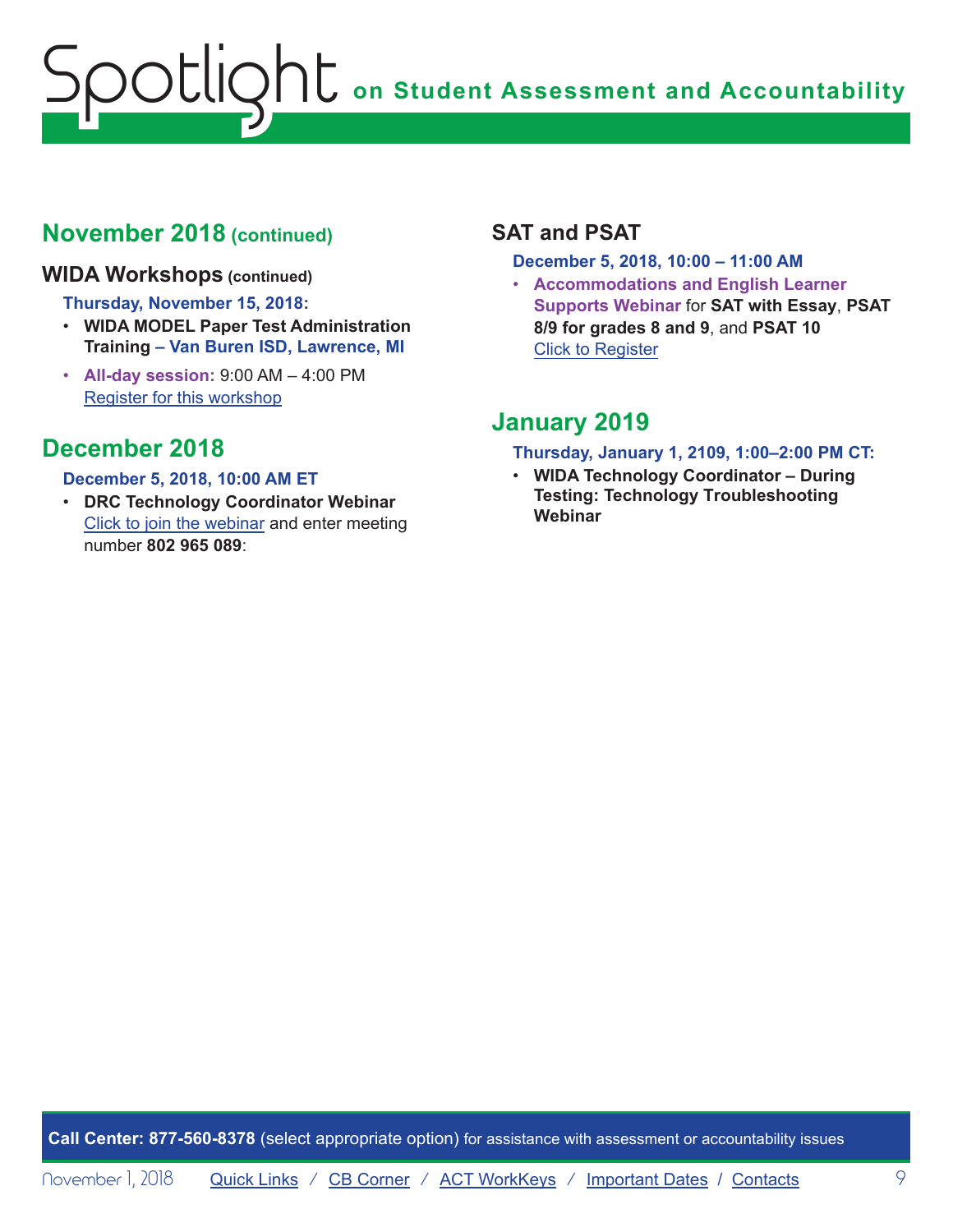## **November 2018 (continued)**

#### **WIDA Workshops (continued)**

#### **Thursday, November 15, 2018:**

- **WIDA MODEL Paper Test Administration Training – Van Buren ISD, Lawrence, MI**
- **All-day session:** 9:00 AM 4:00 PM Register for this workshop

## **December 2018**

#### **December 5, 2018, 10:00 AM ET**

• **DRC Technology Coordinator Webinar** Click to join the webinar and enter meeting number **802 965 089**:

## **SAT and PSAT**

**December 5, 2018, 10:00 – 11:00 AM**

• **Accommodations and English Learner Supports Webinar** for **SAT with Essay**, **PSAT 8/9 for grades 8 and 9**, and **PSAT 10** Click to Register

## **January 2019**

#### **Thursday, January 1, 2109, 1:00–2:00 PM CT:**

• **WIDA Technology Coordinator – During Testing: Technology Troubleshooting Webinar**